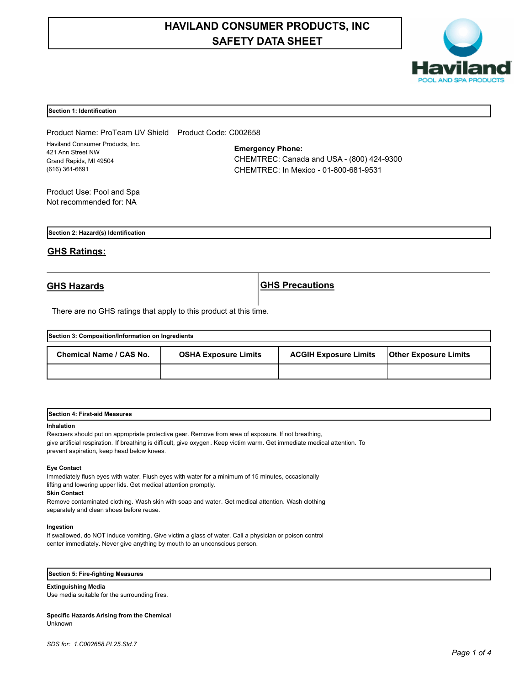# **HAVILAND CONSUMER PRODUCTS, INC SAFETY DATA SHEET**



### **Section 1: Identification**

Product Name: ProTeam UV Shield Product Code: C002658 Haviland Consumer Products, Inc. 421 Ann Street NW Grand Rapids, MI 49504 (616) 361-6691

**Emergency Phone:** CHEMTREC: Canada and USA - (800) 424-9300 CHEMTREC: In Mexico - 01-800-681-9531

Product Use: Pool and Spa Not recommended for: NA

**Section 2: Hazard(s) Identification**

# **GHS Ratings:**

**GHS Hazards GHS Precautions**

There are no GHS ratings that apply to this product at this time.

| Section 3: Composition/Information on Ingredients |                             |                              |                              |  |  |
|---------------------------------------------------|-----------------------------|------------------------------|------------------------------|--|--|
| Chemical Name / CAS No.                           | <b>OSHA Exposure Limits</b> | <b>ACGIH Exposure Limits</b> | <b>Other Exposure Limits</b> |  |  |
|                                                   |                             |                              |                              |  |  |

|  | Section 4: First-aid Measures |  |
|--|-------------------------------|--|
|--|-------------------------------|--|

#### **Inhalation**

Rescuers should put on appropriate protective gear. Remove from area of exposure. If not breathing, give artificial respiration. If breathing is difficult, give oxygen. Keep victim warm. Get immediate medical attention. To prevent aspiration, keep head below knees.

#### **Eye Contact**

Immediately flush eyes with water. Flush eyes with water for a minimum of 15 minutes, occasionally lifting and lowering upper lids. Get medical attention promptly.

**Skin Contact**

Remove contaminated clothing. Wash skin with soap and water. Get medical attention. Wash clothing separately and clean shoes before reuse.

# **Ingestion**

If swallowed, do NOT induce vomiting. Give victim a glass of water. Call a physician or poison control center immediately. Never give anything by mouth to an unconscious person.

# **Section 5: Fire-fighting Measures**

**Extinguishing Media**

Use media suitable for the surrounding fires.

#### **Specific Hazards Arising from the Chemical** Unknown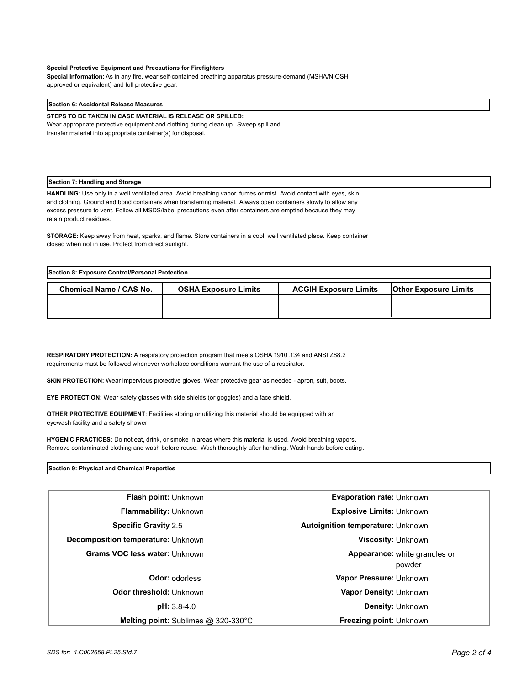#### **Special Protective Equipment and Precautions for Firefighters**

**Special Information**: As in any fire, wear self-contained breathing apparatus pressure-demand (MSHA/NIOSH approved or equivalent) and full protective gear.

#### **Section 6: Accidental Release Measures**

**STEPS TO BE TAKEN IN CASE MATERIAL IS RELEASE OR SPILLED:**

Wear appropriate protective equipment and clothing during clean up . Sweep spill and transfer material into appropriate container(s) for disposal.

#### **Section 7: Handling and Storage**

**HANDLING:** Use only in a well ventilated area. Avoid breathing vapor, fumes or mist. Avoid contact with eyes, skin, and clothing. Ground and bond containers when transferring material. Always open containers slowly to allow any excess pressure to vent. Follow all MSDS/label precautions even after containers are emptied because they may retain product residues.

**STORAGE:** Keep away from heat, sparks, and flame. Store containers in a cool, well ventilated place. Keep container closed when not in use. Protect from direct sunlight.

| Section 8: Exposure Control/Personal Protection |                             |                              |                              |  |
|-------------------------------------------------|-----------------------------|------------------------------|------------------------------|--|
| <b>Chemical Name / CAS No.</b>                  | <b>OSHA Exposure Limits</b> | <b>ACGIH Exposure Limits</b> | <b>Other Exposure Limits</b> |  |
|                                                 |                             |                              |                              |  |
|                                                 |                             |                              |                              |  |

**RESPIRATORY PROTECTION:** A respiratory protection program that meets OSHA 1910.134 and ANSI Z88.2 requirements must be followed whenever workplace conditions warrant the use of a respirator.

**SKIN PROTECTION:** Wear impervious protective gloves. Wear protective gear as needed - apron, suit, boots.

**EYE PROTECTION:** Wear safety glasses with side shields (or goggles) and a face shield.

**OTHER PROTECTIVE EQUIPMENT**: Facilities storing or utilizing this material should be equipped with an eyewash facility and a safety shower.

**HYGENIC PRACTICES:** Do not eat, drink, or smoke in areas where this material is used. Avoid breathing vapors. Remove contaminated clothing and wash before reuse. Wash thoroughly after handling. Wash hands before eating.

### **Section 9: Physical and Chemical Properties**

| <b>Flash point: Unknown</b>                   | Evaporation rate: Unknown                      |  |
|-----------------------------------------------|------------------------------------------------|--|
| <b>Flammability: Unknown</b>                  | <b>Explosive Limits: Unknown</b>               |  |
| <b>Specific Gravity 2.5</b>                   | <b>Autoignition temperature: Unknown</b>       |  |
| Decomposition temperature: Unknown            | <b>Viscosity: Unknown</b>                      |  |
| <b>Grams VOC less water: Unknown</b>          | <b>Appearance:</b> white granules or<br>powder |  |
| <b>Odor: odorless</b>                         | Vapor Pressure: Unknown                        |  |
| Odor threshold: Unknown                       | Vapor Density: Unknown                         |  |
| $pH: 3.8-4.0$                                 | <b>Density: Unknown</b>                        |  |
| <b>Melting point:</b> Sublimes $@$ 320-330 °C | <b>Freezing point: Unknown</b>                 |  |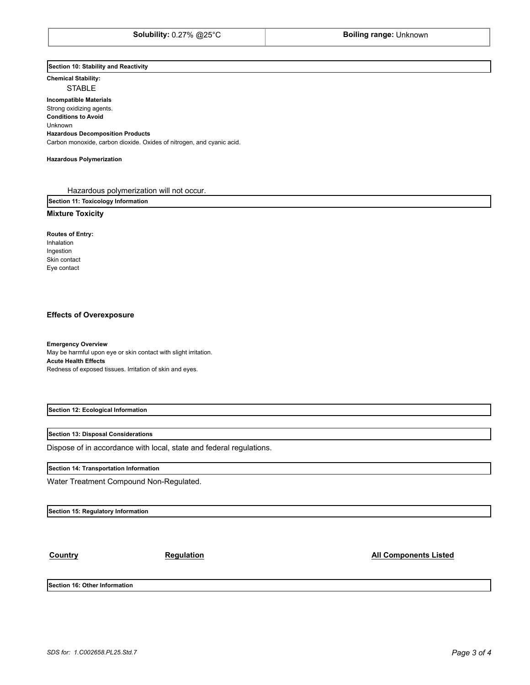## **Section 10: Stability and Reactivity**

**Chemical Stability:** STABLE

**Incompatible Materials**  Strong oxidizing agents. **Conditions to Avoid** Unknown **Hazardous Decomposition Products** Carbon monoxide, carbon dioxide. Oxides of nitrogen, and cyanic acid.

#### **Hazardous Polymerization**

Hazardous polymerization will not occur.

**Section 11: Toxicology Information**

# **Mixture Toxicity**

**Routes of Entry:** Inhalation

Ingestion Skin contact Eye contact

### **Effects of Overexposure**

**Emergency Overview** May be harmful upon eye or skin contact with slight irritation. **Acute Health Effects** Redness of exposed tissues. Irritation of skin and eyes.

**Section 12: Ecological Information**

#### **Section 13: Disposal Considerations**

Dispose of in accordance with local, state and federal regulations.

# **Section 14: Transportation Information**

Water Treatment Compound Non-Regulated.

**Section 15: Regulatory Information**

**Country Country Regulation Regulation Regulation All Components Listed** 

**Section 16: Other Information**